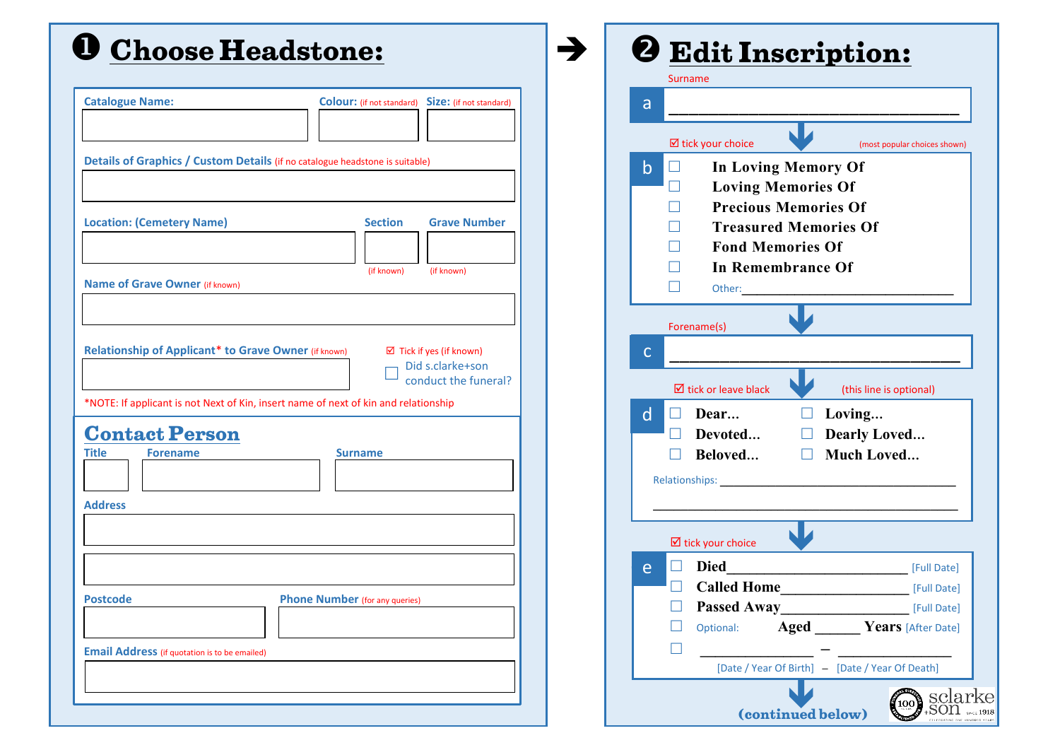## **Choose Headstone:**

| <b>Catalogue Name:</b>                                                              | <b>Colour:</b> (if not standard)<br>Size: (if not standard) |
|-------------------------------------------------------------------------------------|-------------------------------------------------------------|
|                                                                                     |                                                             |
|                                                                                     |                                                             |
| Details of Graphics / Custom Details (if no catalogue headstone is suitable)        |                                                             |
|                                                                                     |                                                             |
|                                                                                     |                                                             |
| <b>Location: (Cemetery Name)</b>                                                    | <b>Section</b><br><b>Grave Number</b>                       |
|                                                                                     |                                                             |
|                                                                                     |                                                             |
|                                                                                     | (if known)<br>(if known)                                    |
| <b>Name of Grave Owner (if known)</b>                                               |                                                             |
|                                                                                     |                                                             |
|                                                                                     |                                                             |
| Relationship of Applicant* to Grave Owner (if known)                                | $\boxtimes$ Tick if yes (if known)                          |
|                                                                                     | Did s.clarke+son                                            |
|                                                                                     | conduct the funeral?                                        |
| *NOTE: If applicant is not Next of Kin, insert name of next of kin and relationship |                                                             |
|                                                                                     |                                                             |
| <b>Contact Person</b>                                                               |                                                             |
| Title<br><b>Forename</b>                                                            | <b>Surname</b>                                              |
|                                                                                     |                                                             |
|                                                                                     |                                                             |
| <b>Address</b>                                                                      |                                                             |
|                                                                                     |                                                             |
|                                                                                     |                                                             |
|                                                                                     |                                                             |
|                                                                                     |                                                             |
| <b>Postcode</b>                                                                     | <b>Phone Number</b> (for any queries)                       |
|                                                                                     |                                                             |
|                                                                                     |                                                             |
| <b>Email Address</b> (if quotation is to be emailed)                                |                                                             |
|                                                                                     |                                                             |
|                                                                                     |                                                             |
|                                                                                     |                                                             |

| a            |                                                         |                              |
|--------------|---------------------------------------------------------|------------------------------|
|              |                                                         |                              |
|              | <b>Ø</b> tick your choice                               | (most popular choices shown) |
| b            | <b>In Loving Memory Of</b>                              |                              |
|              | <b>Loving Memories Of</b>                               |                              |
|              | <b>Precious Memories Of</b>                             |                              |
|              | <b>Treasured Memories Of</b><br><b>Fond Memories Of</b> |                              |
|              | <b>In Remembrance Of</b>                                |                              |
|              | Other:                                                  |                              |
|              |                                                         |                              |
|              | Forename(s)                                             |                              |
| $\mathsf{C}$ |                                                         |                              |
|              | $\boxtimes$ tick or leave black                         | (this line is optional)      |
| $\mathsf{d}$ | Dear                                                    | Loving                       |
|              | Devoted                                                 | <b>Dearly Loved</b>          |
|              | Beloved                                                 | <b>Much Loved</b>            |
|              | Relationships: _____                                    |                              |
|              |                                                         |                              |
|              |                                                         |                              |
|              | $\triangledown$ tick your choice                        |                              |
| e            | <b>Died</b><br><b>Called Home</b>                       | [Full Date]                  |
| $\Box$       | <b>Passed Away</b>                                      | [Full Date]<br>[Full Date]   |
|              | Aged<br>Optional:                                       | Years [After Date]           |
|              |                                                         |                              |

 $\rightarrow$